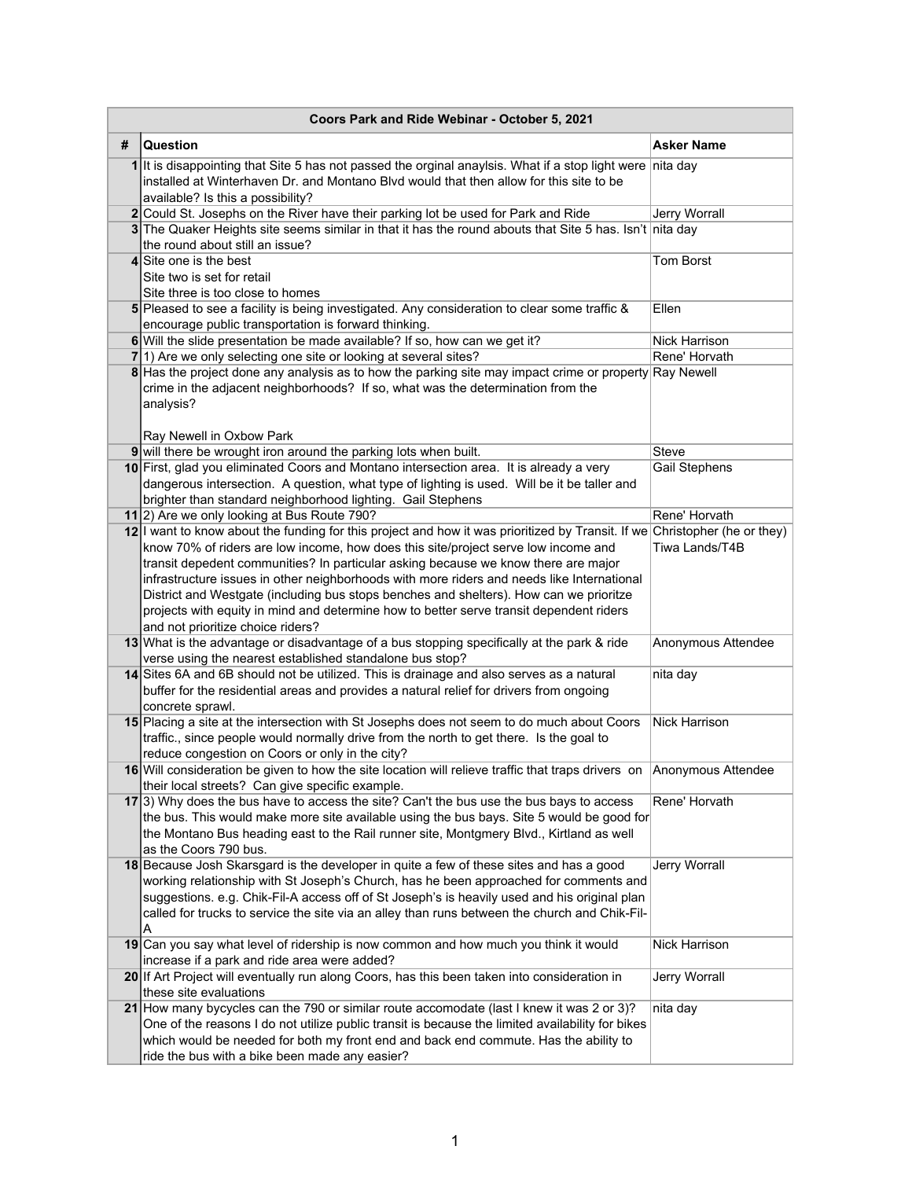|   | Coors Park and Ride Webinar - October 5, 2021                                                                                                                                                                                                                                                                                                                                                                                                                                                                                                                                                                                  |                      |  |  |
|---|--------------------------------------------------------------------------------------------------------------------------------------------------------------------------------------------------------------------------------------------------------------------------------------------------------------------------------------------------------------------------------------------------------------------------------------------------------------------------------------------------------------------------------------------------------------------------------------------------------------------------------|----------------------|--|--|
| # | Question                                                                                                                                                                                                                                                                                                                                                                                                                                                                                                                                                                                                                       | <b>Asker Name</b>    |  |  |
| 1 | It is disappointing that Site 5 has not passed the orginal anaylsis. What if a stop light were<br>installed at Winterhaven Dr. and Montano Blvd would that then allow for this site to be<br>available? Is this a possibility?                                                                                                                                                                                                                                                                                                                                                                                                 | nita day             |  |  |
|   | 2 Could St. Josephs on the River have their parking lot be used for Park and Ride                                                                                                                                                                                                                                                                                                                                                                                                                                                                                                                                              | <b>Jerry Worrall</b> |  |  |
|   | 3 The Quaker Heights site seems similar in that it has the round abouts that Site 5 has. Isn't nita day<br>the round about still an issue?                                                                                                                                                                                                                                                                                                                                                                                                                                                                                     |                      |  |  |
|   | 4 Site one is the best<br>Site two is set for retail<br>Site three is too close to homes                                                                                                                                                                                                                                                                                                                                                                                                                                                                                                                                       | <b>Tom Borst</b>     |  |  |
|   | 5 Pleased to see a facility is being investigated. Any consideration to clear some traffic &<br>encourage public transportation is forward thinking.                                                                                                                                                                                                                                                                                                                                                                                                                                                                           | Ellen                |  |  |
|   | 6 Will the slide presentation be made available? If so, how can we get it?                                                                                                                                                                                                                                                                                                                                                                                                                                                                                                                                                     | Nick Harrison        |  |  |
|   | 7 1) Are we only selecting one site or looking at several sites?                                                                                                                                                                                                                                                                                                                                                                                                                                                                                                                                                               | Rene' Horvath        |  |  |
|   | 8 Has the project done any analysis as to how the parking site may impact crime or property Ray Newell<br>crime in the adjacent neighborhoods? If so, what was the determination from the<br>analysis?<br>Ray Newell in Oxbow Park                                                                                                                                                                                                                                                                                                                                                                                             |                      |  |  |
|   | 9 will there be wrought iron around the parking lots when built.                                                                                                                                                                                                                                                                                                                                                                                                                                                                                                                                                               | Steve                |  |  |
|   | 10 First, glad you eliminated Coors and Montano intersection area. It is already a very<br>dangerous intersection. A question, what type of lighting is used. Will be it be taller and<br>brighter than standard neighborhood lighting. Gail Stephens                                                                                                                                                                                                                                                                                                                                                                          | Gail Stephens        |  |  |
|   | 11 2) Are we only looking at Bus Route 790?                                                                                                                                                                                                                                                                                                                                                                                                                                                                                                                                                                                    | Rene' Horvath        |  |  |
|   | 12 I want to know about the funding for this project and how it was prioritized by Transit. If we Christopher (he or they)<br>know 70% of riders are low income, how does this site/project serve low income and<br>transit depedent communities? In particular asking because we know there are major<br>infrastructure issues in other neighborhoods with more riders and needs like International<br>District and Westgate (including bus stops benches and shelters). How can we prioritze<br>projects with equity in mind and determine how to better serve transit dependent riders<br>and not prioritize choice riders? | Tiwa Lands/T4B       |  |  |
|   | 13 What is the advantage or disadvantage of a bus stopping specifically at the park & ride<br>verse using the nearest established standalone bus stop?                                                                                                                                                                                                                                                                                                                                                                                                                                                                         | Anonymous Attendee   |  |  |
|   | 14 Sites 6A and 6B should not be utilized. This is drainage and also serves as a natural<br>buffer for the residential areas and provides a natural relief for drivers from ongoing<br>concrete sprawl.                                                                                                                                                                                                                                                                                                                                                                                                                        | nita day             |  |  |
|   | 15 Placing a site at the intersection with St Josephs does not seem to do much about Coors<br>traffic., since people would normally drive from the north to get there. Is the goal to<br>reduce congestion on Coors or only in the city?                                                                                                                                                                                                                                                                                                                                                                                       | Nick Harrison        |  |  |
|   | 16 Will consideration be given to how the site location will relieve traffic that traps drivers on Anonymous Attendee<br>their local streets? Can give specific example.                                                                                                                                                                                                                                                                                                                                                                                                                                                       |                      |  |  |
|   | $17 3$ ) Why does the bus have to access the site? Can't the bus use the bus bays to access<br>the bus. This would make more site available using the bus bays. Site 5 would be good for<br>the Montano Bus heading east to the Rail runner site, Montgmery Blvd., Kirtland as well<br>as the Coors 790 bus.                                                                                                                                                                                                                                                                                                                   | Rene' Horvath        |  |  |
|   | 18 Because Josh Skarsgard is the developer in quite a few of these sites and has a good<br>working relationship with St Joseph's Church, has he been approached for comments and<br>suggestions. e.g. Chik-Fil-A access off of St Joseph's is heavily used and his original plan<br>called for trucks to service the site via an alley than runs between the church and Chik-Fil-<br>А                                                                                                                                                                                                                                         | Jerry Worrall        |  |  |
|   | 19 Can you say what level of ridership is now common and how much you think it would<br>increase if a park and ride area were added?                                                                                                                                                                                                                                                                                                                                                                                                                                                                                           | Nick Harrison        |  |  |
|   | 20 If Art Project will eventually run along Coors, has this been taken into consideration in<br>these site evaluations                                                                                                                                                                                                                                                                                                                                                                                                                                                                                                         | Jerry Worrall        |  |  |
|   | 21 How many bycycles can the 790 or similar route accomodate (last I knew it was 2 or 3)?<br>One of the reasons I do not utilize public transit is because the limited availability for bikes<br>which would be needed for both my front end and back end commute. Has the ability to<br>ride the bus with a bike been made any easier?                                                                                                                                                                                                                                                                                        | nita day             |  |  |